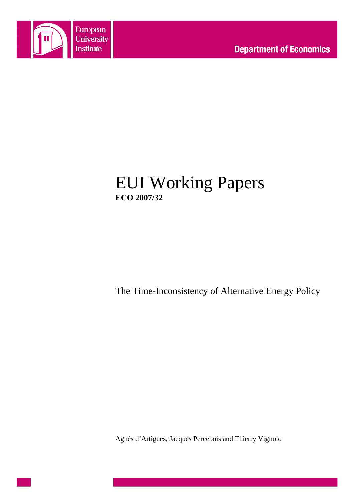

# EUI Working Papers **ECO 2007/32**

The Time-Inconsistency of Alternative Energy Policy

Agnès d'Artigues, Jacques Percebois and Thierry Vignolo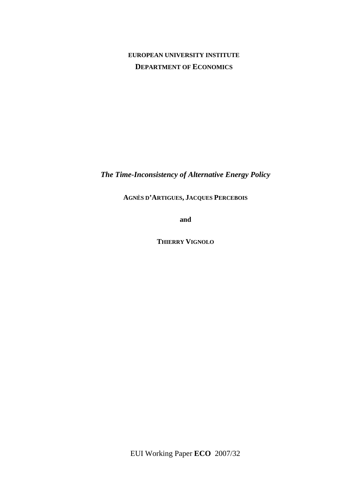# **EUROPEAN UNIVERSITY INSTITUTE DEPARTMENT OF ECONOMICS**

*The Time-Inconsistency of Alternative Energy Policy* 

**AGNÈS D'ARTIGUES, JACQUES PERCEBOIS** 

**and**

**THIERRY VIGNOLO**

EUI Working Paper **ECO** 2007/32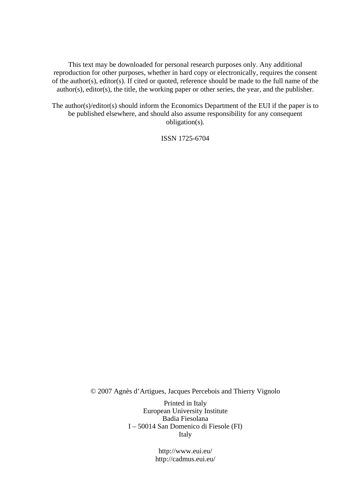This text may be downloaded for personal research purposes only. Any additional reproduction for other purposes, whether in hard copy or electronically, requires the consent of the author(s), editor(s). If cited or quoted, reference should be made to the full name of the author(s), editor(s), the title, the working paper or other series, the year, and the publisher.

The author(s)/editor(s) should inform the Economics Department of the EUI if the paper is to be published elsewhere, and should also assume responsibility for any consequent obligation(s).

ISSN 1725-6704

© 2007 Agnès d'Artigues, Jacques Percebois and Thierry Vignolo

Printed in Italy European University Institute Badia Fiesolana I – 50014 San Domenico di Fiesole (FI) Italy

> http://www.eui.eu/ http://cadmus.eui.eu/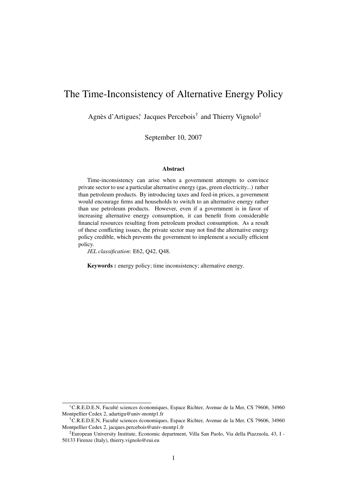# The Time-Inconsistency of Alternative Energy Policy

Agnès d'Artigues<sup>\*</sup>, Jacques Percebois<sup>†</sup> and Thierry Vignolo<sup>‡</sup>

September 10, 2007

#### Abstract

Time-inconsistency can arise when a government attempts to convince private sector to use a particular alternative energy (gas, green electricity...) rather than petroleum products. By introducing taxes and feed-in prices, a government would encourage firms and households to switch to an alternative energy rather than use petroleum products. However, even if a government is in favor of increasing alternative energy consumption, it can benefit from considerable financial resources resulting from petroleum product consumption. As a result of these conflicting issues, the private sector may not find the alternative energy policy credible, which prevents the government to implement a socially efficient policy.

*JEL classification*: E62, Q42, Q48.

Keywords : energy policy; time inconsistency; alternative energy.

<sup>∗</sup>C.R.E.D.E.N, Faculté sciences économiques, Espace Richter, Avenue de la Mer, CS 79606, 34960 Montpellier Cedex 2, adartigu@univ-montp1.fr

<sup>†</sup>C.R.E.D.E.N, Faculté sciences économiques, Espace Richter, Avenue de la Mer, CS 79606, 34960 Montpellier Cedex 2, jacques.percebois@univ-montp1.fr

<sup>‡</sup>European University Institute, Economic department, Villa San Paolo, Via della Piazzuola, 43, I - 50133 Firenze (Italy), thierry.vignolo@eui.eu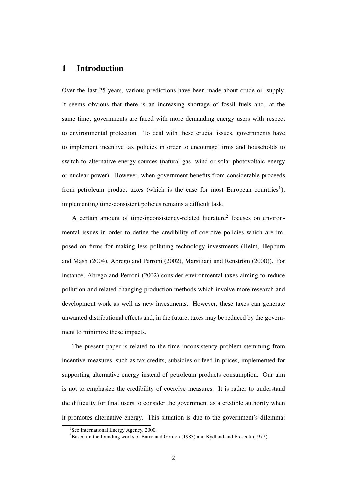# 1 Introduction

Over the last 25 years, various predictions have been made about crude oil supply. It seems obvious that there is an increasing shortage of fossil fuels and, at the same time, governments are faced with more demanding energy users with respect to environmental protection. To deal with these crucial issues, governments have to implement incentive tax policies in order to encourage firms and households to switch to alternative energy sources (natural gas, wind or solar photovoltaic energy or nuclear power). However, when government benefits from considerable proceeds from petroleum product taxes (which is the case for most European countries<sup>1</sup>), implementing time-consistent policies remains a difficult task.

A certain amount of time-inconsistency-related literature<sup>2</sup> focuses on environmental issues in order to define the credibility of coercive policies which are imposed on firms for making less polluting technology investments (Helm, Hepburn and Mash (2004), Abrego and Perroni (2002), Marsiliani and Renström (2000)). For instance, Abrego and Perroni (2002) consider environmental taxes aiming to reduce pollution and related changing production methods which involve more research and development work as well as new investments. However, these taxes can generate unwanted distributional effects and, in the future, taxes may be reduced by the government to minimize these impacts.

The present paper is related to the time inconsistency problem stemming from incentive measures, such as tax credits, subsidies or feed-in prices, implemented for supporting alternative energy instead of petroleum products consumption. Our aim is not to emphasize the credibility of coercive measures. It is rather to understand the difficulty for final users to consider the government as a credible authority when it promotes alternative energy. This situation is due to the government's dilemma:

<sup>&</sup>lt;sup>1</sup>See International Energy Agency, 2000.

<sup>&</sup>lt;sup>2</sup>Based on the founding works of Barro and Gordon (1983) and Kydland and Prescott (1977).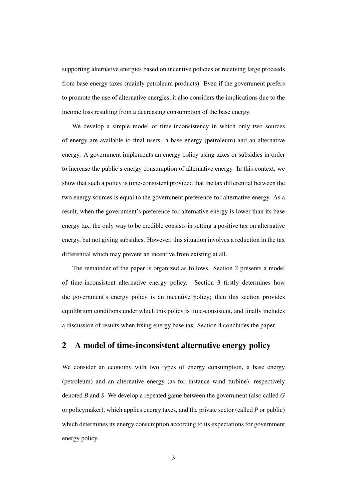supporting alternative energies based on incentive policies or receiving large proceeds from base energy taxes (mainly petroleum products). Even if the government prefers to promote the use of alternative energies, it also considers the implications due to the income loss resulting from a decreasing consumption of the base energy.

We develop a simple model of time-inconsistency in which only two sources of energy are available to final users: a base energy (petroleum) and an alternative energy. A government implements an energy policy using taxes or subsidies in order to increase the public's energy consumption of alternative energy. In this context, we show that such a policy is time-consistent provided that the tax differential between the two energy sources is equal to the government preference for alternative energy. As a result, when the government's preference for alternative energy is lower than its base energy tax, the only way to be credible consists in setting a positive tax on alternative energy, but not giving subsidies. However, this situation involves a reduction in the tax differential which may prevent an incentive from existing at all.

The remainder of the paper is organized as follows. Section 2 presents a model of time-inconsistent alternative energy policy. Section 3 firstly determines how the government's energy policy is an incentive policy; then this section provides equilibrium conditions under which this policy is time-consistent, and finally includes a discussion of results when fixing energy base tax. Section 4 concludes the paper.

### 2 A model of time-inconsistent alternative energy policy

We consider an economy with two types of energy consumption, a base energy (petroleum) and an alternative energy (as for instance wind turbine), respectively denoted *B* and *S*. We develop a repeated game between the government (also called *G* or policymaker), which applies energy taxes, and the private sector (called *P* or public) which determines its energy consumption according to its expectations for government energy policy.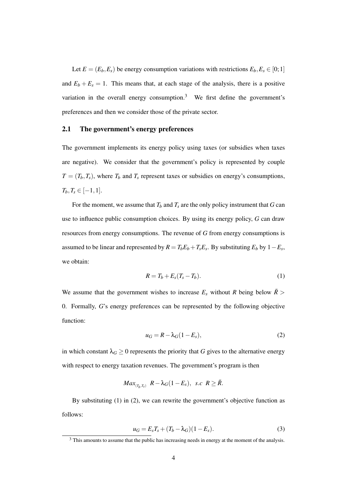Let  $E = (E_b, E_s)$  be energy consumption variations with restrictions  $E_b, E_s \in [0, 1]$ and  $E_b + E_s = 1$ . This means that, at each stage of the analysis, there is a positive variation in the overall energy consumption.<sup>3</sup> We first define the government's preferences and then we consider those of the private sector.

#### 2.1 The government's energy preferences

The government implements its energy policy using taxes (or subsidies when taxes are negative). We consider that the government's policy is represented by couple  $T = (T_b, T_s)$ , where  $T_b$  and  $T_s$  represent taxes or subsidies on energy's consumptions,  $T_b, T_s ∈ [-1,1].$ 

For the moment, we assume that  $T_b$  and  $T_s$  are the only policy instrument that *G* can use to influence public consumption choices. By using its energy policy, *G* can draw resources from energy consumptions. The revenue of *G* from energy consumptions is assumed to be linear and represented by  $R = T_b E_b + T_s E_s$ . By substituting  $E_b$  by  $1 - E_s$ , we obtain:

$$
R = T_b + E_s(T_s - T_b). \tag{1}
$$

We assume that the government wishes to increase  $E_s$  without *R* being below  $\bar{R}$  > 0. Formally, *G*'s energy preferences can be represented by the following objective function:

$$
u_G = R - \lambda_G (1 - E_s),\tag{2}
$$

in which constant  $\lambda_G \geq 0$  represents the priority that *G* gives to the alternative energy with respect to energy taxation revenues. The government's program is then

$$
Max_{(T_b,T_s)} R - \lambda_G(1 - E_s), \ \ s.c \ \ R \ge \bar{R}.
$$

By substituting (1) in (2), we can rewrite the government's objective function as follows:

$$
u_G = E_s T_s + (T_b - \lambda_G)(1 - E_s).
$$
 (3)

<sup>&</sup>lt;sup>3</sup> This amounts to assume that the public has increasing needs in energy at the moment of the analysis.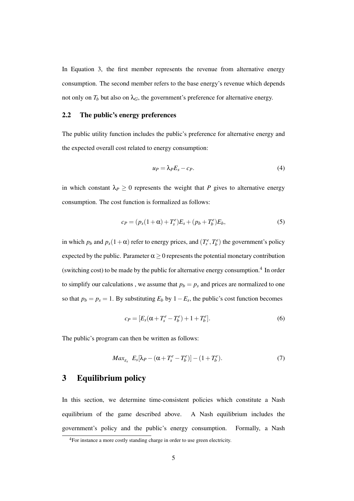In Equation 3, the first member represents the revenue from alternative energy consumption. The second member refers to the base energy's revenue which depends not only on  $T_b$  but also on  $\lambda_G$ , the government's preference for alternative energy.

#### 2.2 The public's energy preferences

The public utility function includes the public's preference for alternative energy and the expected overall cost related to energy consumption:

$$
u_P = \lambda_P E_s - c_P. \tag{4}
$$

in which constant  $\lambda_P \geq 0$  represents the weight that *P* gives to alternative energy consumption. The cost function is formalized as follows:

$$
c_P = (p_s(1+\alpha) + T_s^e)E_s + (p_b + T_b^e)E_b,
$$
\n(5)

in which  $p_b$  and  $p_s(1+\alpha)$  refer to energy prices, and  $(T_s^e, T_b^e)$  the government's policy expected by the public. Parameter  $\alpha \geq 0$  represents the potential monetary contribution (switching cost) to be made by the public for alternative energy consumption.<sup>4</sup> In order to simplify our calculations, we assume that  $p_b = p_s$  and prices are normalized to one so that  $p_b = p_s = 1$ . By substituting  $E_b$  by  $1 - E_s$ , the public's cost function becomes

$$
c_P = [E_s(\alpha + T_s^e - T_b^e) + 1 + T_b^e].
$$
\n(6)

The public's program can then be written as follows:

$$
Max_{E_s} E_s[\lambda_P - (\alpha + T_s^e - T_b^e)] - (1 + T_b^e). \tag{7}
$$

## 3 Equilibrium policy

In this section, we determine time-consistent policies which constitute a Nash equilibrium of the game described above. A Nash equilibrium includes the government's policy and the public's energy consumption. Formally, a Nash

<sup>4</sup>For instance a more costly standing charge in order to use green electricity.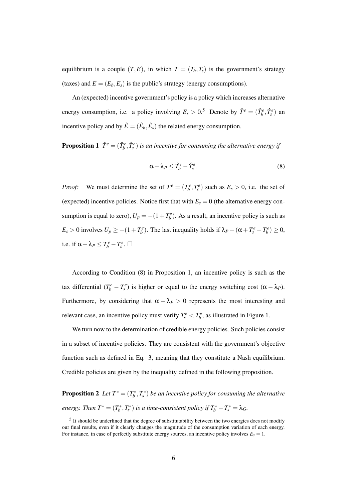equilibrium is a couple  $(T, E)$ , in which  $T = (T_b, T_s)$  is the government's strategy (taxes) and  $E = (E_b, E_s)$  is the public's strategy (energy consumptions).

An (expected) incentive government's policy is a policy which increases alternative energy consumption, i.e. a policy involving  $E_s > 0.5$  Denote by  $\hat{T}^e = (\hat{T}^e_b, \hat{T}^e_s)$  and incentive policy and by  $\hat{E} = (\hat{E}_b, \hat{E}_s)$  the related energy consumption.

**Proposition 1**  $\hat{T}^e = (\hat{T}^e_b, \hat{T}^e_s)$  is an incentive for consuming the alternative energy if

$$
\alpha - \lambda_P \leq \hat{T}_b^e - \hat{T}_s^e. \tag{8}
$$

*Proof:* We must determine the set of  $T^e = (T^e_b, T^e_s)$  such as  $E_s > 0$ , i.e. the set of (expected) incentive policies. Notice first that with  $E_s = 0$  (the alternative energy consumption is equal to zero),  $U_p = -(1 + T_b^e)$ . As a result, an incentive policy is such as  $E_s > 0$  involves  $U_p \ge -(1+T_b^e)$ . The last inequality holds if  $\lambda_p - (\alpha + T_s^e - T_b^e) \ge 0$ , i.e. if  $\alpha - \lambda_P \leq T_b^e - T_s^e$ .  $\Box$ 

According to Condition (8) in Proposition 1, an incentive policy is such as the tax differential  $(T_b^e - T_s^e)$  is higher or equal to the energy switching cost  $(\alpha - \lambda_P)$ . Furthermore, by considering that  $\alpha - \lambda_P > 0$  represents the most interesting and relevant case, an incentive policy must verify  $T_s^e < T_b^e$ , as illustrated in Figure 1.

We turn now to the determination of credible energy policies. Such policies consist in a subset of incentive policies. They are consistent with the government's objective function such as defined in Eq. 3, meaning that they constitute a Nash equilibrium. Credible policies are given by the inequality defined in the following proposition.

**Proposition 2** Let  $T^* = (T_b^*, T_s^*)$  be an incentive policy for consuming the alternative *energy. Then*  $T^* = (T_b^*, T_s^*)$  *is a time-consistent policy if*  $T_b^* - T_s^* = \lambda_G$ .

 $<sup>5</sup>$  It should be underlined that the degree of substitutability between the two energies does not modify</sup> our final results, even if it clearly changes the magnitude of the consumption variation of each energy. For instance, in case of perfectly substitute energy sources, an incentive policy involves  $E_s = 1$ .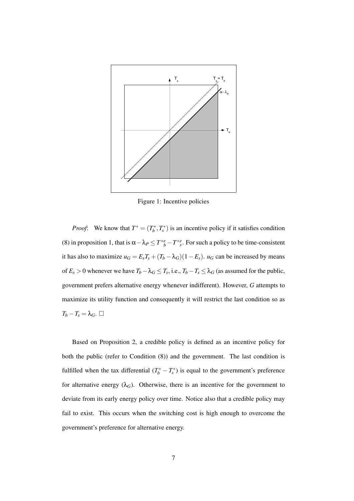

Figure 1: Incentive policies

*Proof*: We know that  $T^* = (T_b^*, T_s^*)$  is an incentive policy if it satisfies condition (8) in proposition 1, that is  $\alpha - \lambda_P \le T^*{}_{b}^e - T^*{}_{s}^e$ . For such a policy to be time-consistent it has also to maximize  $u_G = E_s T_s + (T_b - \lambda_G)(1 - E_s)$ .  $u_G$  can be increased by means of  $E_s > 0$  whenever we have  $T_b - \lambda_G \leq T_s$ , i.e.,  $T_b - T_s \leq \lambda_G$  (as assumed for the public, government prefers alternative energy whenever indifferent). However, *G* attempts to maximize its utility function and consequently it will restrict the last condition so as  $T_b - T_s = \lambda_G$ .  $\Box$ 

Based on Proposition 2, a credible policy is defined as an incentive policy for both the public (refer to Condition (8)) and the government. The last condition is fulfilled when the tax differential  $(T_b^* - T_s^*)$  is equal to the government's preference for alternative energy  $(\lambda_G)$ . Otherwise, there is an incentive for the government to deviate from its early energy policy over time. Notice also that a credible policy may fail to exist. This occurs when the switching cost is high enough to overcome the government's preference for alternative energy.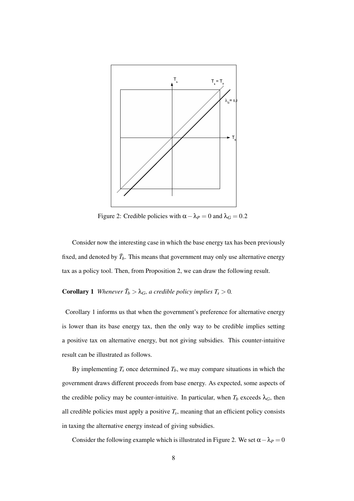

Figure 2: Credible policies with  $\alpha - \lambda_P = 0$  and  $\lambda_G = 0.2$ 

Consider now the interesting case in which the base energy tax has been previously fixed, and denoted by  $\bar{T}_b$ . This means that government may only use alternative energy tax as a policy tool. Then, from Proposition 2, we can draw the following result.

# **Corollary 1** Whenever  $\bar{T}_b > \lambda_G$ , a credible policy implies  $T_s > 0$ .

Corollary 1 informs us that when the government's preference for alternative energy is lower than its base energy tax, then the only way to be credible implies setting a positive tax on alternative energy, but not giving subsidies. This counter-intuitive result can be illustrated as follows.

By implementing  $T_s$  once determined  $T_b$ , we may compare situations in which the government draws different proceeds from base energy. As expected, some aspects of the credible policy may be counter-intuitive. In particular, when  $T_b$  exceeds  $\lambda_G$ , then all credible policies must apply a positive  $T_s$ , meaning that an efficient policy consists in taxing the alternative energy instead of giving subsidies.

Consider the following example which is illustrated in Figure 2. We set  $\alpha - \lambda_P = 0$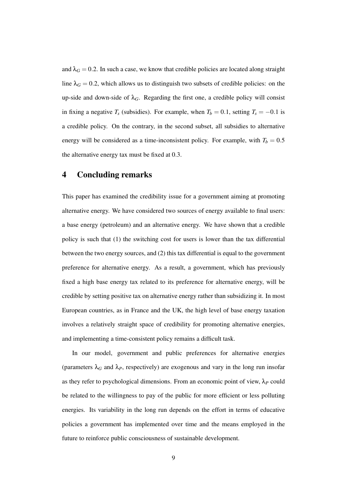and  $\lambda$ <sup>*G*</sup> = 0.2. In such a case, we know that credible policies are located along straight line  $\lambda_G = 0.2$ , which allows us to distinguish two subsets of credible policies: on the up-side and down-side of  $\lambda_G$ . Regarding the first one, a credible policy will consist in fixing a negative  $T_s$  (subsidies). For example, when  $T_b = 0.1$ , setting  $T_s = -0.1$  is a credible policy. On the contrary, in the second subset, all subsidies to alternative energy will be considered as a time-inconsistent policy. For example, with  $T_b = 0.5$ the alternative energy tax must be fixed at 0.3.

# 4 Concluding remarks

This paper has examined the credibility issue for a government aiming at promoting alternative energy. We have considered two sources of energy available to final users: a base energy (petroleum) and an alternative energy. We have shown that a credible policy is such that (1) the switching cost for users is lower than the tax differential between the two energy sources, and (2) this tax differential is equal to the government preference for alternative energy. As a result, a government, which has previously fixed a high base energy tax related to its preference for alternative energy, will be credible by setting positive tax on alternative energy rather than subsidizing it. In most European countries, as in France and the UK, the high level of base energy taxation involves a relatively straight space of credibility for promoting alternative energies, and implementing a time-consistent policy remains a difficult task.

In our model, government and public preferences for alternative energies (parameters  $\lambda_G$  and  $\lambda_P$ , respectively) are exogenous and vary in the long run insofar as they refer to psychological dimensions. From an economic point of view,  $\lambda_P$  could be related to the willingness to pay of the public for more efficient or less polluting energies. Its variability in the long run depends on the effort in terms of educative policies a government has implemented over time and the means employed in the future to reinforce public consciousness of sustainable development.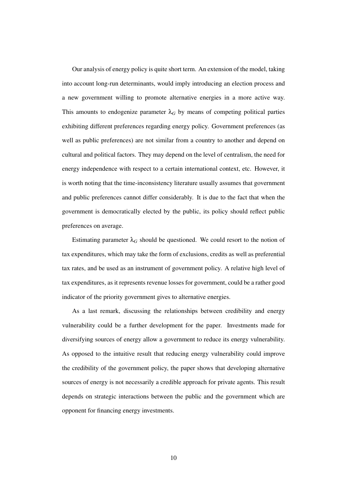Our analysis of energy policy is quite short term. An extension of the model, taking into account long-run determinants, would imply introducing an election process and a new government willing to promote alternative energies in a more active way. This amounts to endogenize parameter  $\lambda_G$  by means of competing political parties exhibiting different preferences regarding energy policy. Government preferences (as well as public preferences) are not similar from a country to another and depend on cultural and political factors. They may depend on the level of centralism, the need for energy independence with respect to a certain international context, etc. However, it is worth noting that the time-inconsistency literature usually assumes that government and public preferences cannot differ considerably. It is due to the fact that when the government is democratically elected by the public, its policy should reflect public preferences on average.

Estimating parameter  $\lambda_G$  should be questioned. We could resort to the notion of tax expenditures, which may take the form of exclusions, credits as well as preferential tax rates, and be used as an instrument of government policy. A relative high level of tax expenditures, as it represents revenue losses for government, could be a rather good indicator of the priority government gives to alternative energies.

As a last remark, discussing the relationships between credibility and energy vulnerability could be a further development for the paper. Investments made for diversifying sources of energy allow a government to reduce its energy vulnerability. As opposed to the intuitive result that reducing energy vulnerability could improve the credibility of the government policy, the paper shows that developing alternative sources of energy is not necessarily a credible approach for private agents. This result depends on strategic interactions between the public and the government which are opponent for financing energy investments.